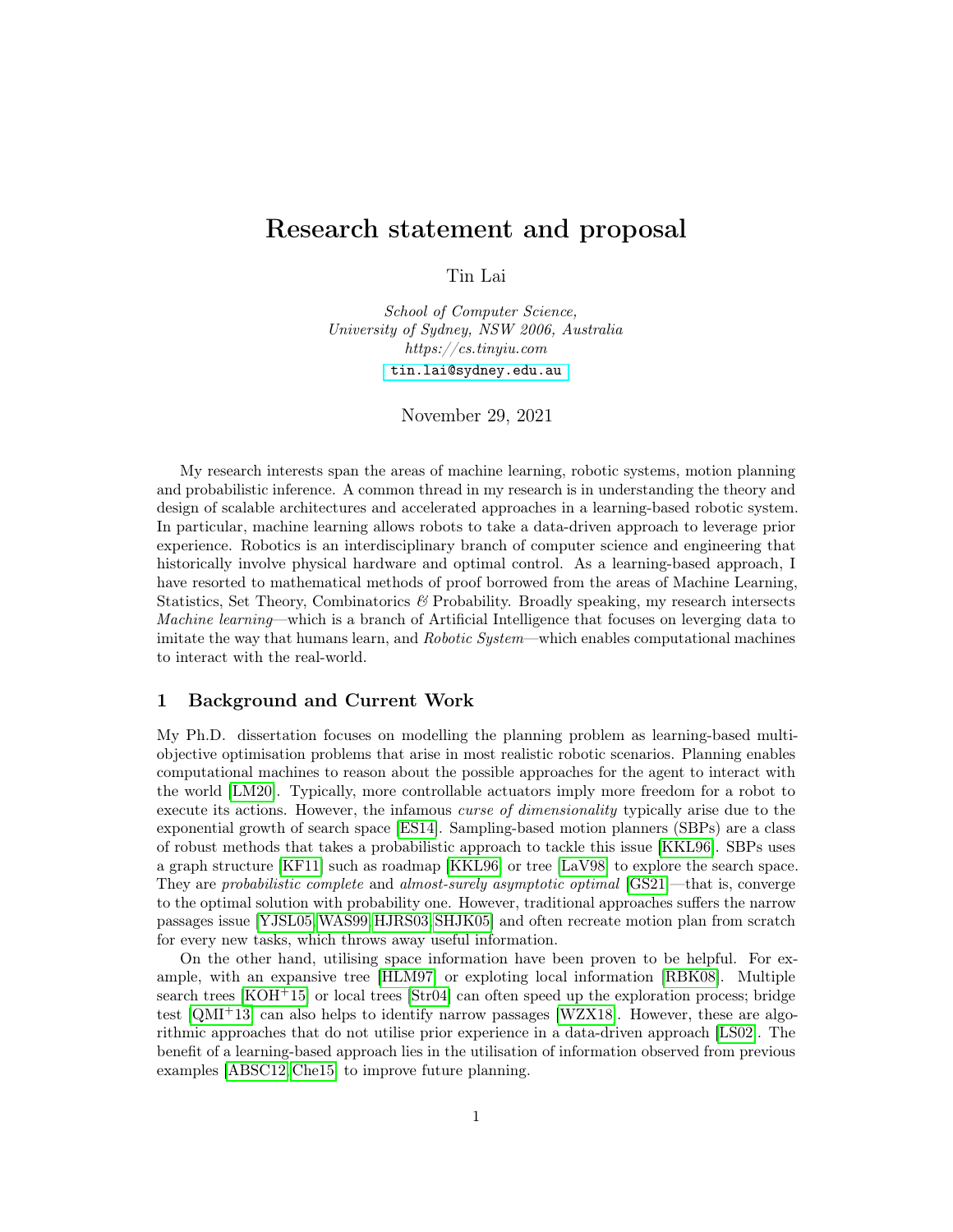# Research statement and proposal

Tin Lai

School of Computer Science, University of Sydney, NSW 2006, Australia https://cs.tinyiu.com [tin.lai@sydney.edu.au](mailto:tin.lai@sydney.edu.au)

November 29, 2021

My research interests span the areas of machine learning, robotic systems, motion planning and probabilistic inference. A common thread in my research is in understanding the theory and design of scalable architectures and accelerated approaches in a learning-based robotic system. In particular, machine learning allows robots to take a data-driven approach to leverage prior experience. Robotics is an interdisciplinary branch of computer science and engineering that historically involve physical hardware and optimal control. As a learning-based approach, I have resorted to mathematical methods of proof borrowed from the areas of Machine Learning, Statistics, Set Theory, Combinatorics & Probability. Broadly speaking, my research intersects Machine learning—which is a branch of Artificial Intelligence that focuses on leverging data to imitate the way that humans learn, and *Robotic System*—which enables computational machines to interact with the real-world.

## 1 Background and Current Work

My Ph.D. dissertation focuses on modelling the planning problem as learning-based multiobjective optimisation problems that arise in most realistic robotic scenarios. Planning enables computational machines to reason about the possible approaches for the agent to interact with the world [\[LM20\]](#page-3-0). Typically, more controllable actuators imply more freedom for a robot to execute its actions. However, the infamous *curse of dimensionality* typically arise due to the exponential growth of search space [\[ES14\]](#page-3-1). Sampling-based motion planners (SBPs) are a class of robust methods that takes a probabilistic approach to tackle this issue [\[KKL96\]](#page-3-2). SBPs uses a graph structure [\[KF11\]](#page-3-3) such as roadmap [\[KKL96\]](#page-3-2) or tree [\[LaV98\]](#page-3-4) to explore the search space. They are probabilistic complete and almost-surely asymptotic optimal  $[GS21]$ —that is, converge to the optimal solution with probability one. However, traditional approaches suffers the narrow passages issue [\[YJSL05,](#page-4-0)[WAS99,](#page-4-1) [HJRS03,](#page-3-6) [SHJK05\]](#page-4-2) and often recreate motion plan from scratch for every new tasks, which throws away useful information.

On the other hand, utilising space information have been proven to be helpful. For example, with an expansive tree [\[HLM97\]](#page-3-7) or exploting local information [\[RBK08\]](#page-4-3). Multiple search trees [\[KOH](#page-3-8)<sup>+</sup>15] or local trees [\[Str04\]](#page-4-4) can often speed up the exploration process; bridge test  $[QMI^+13]$  $[QMI^+13]$  can also helps to identify narrow passages  $[WZX18]$ . However, these are algorithmic approaches that do not utilise prior experience in a data-driven approach [\[LS02\]](#page-3-9). The benefit of a learning-based approach lies in the utilisation of information observed from previous examples [\[ABSC12,](#page-3-10) [Che15\]](#page-3-11) to improve future planning.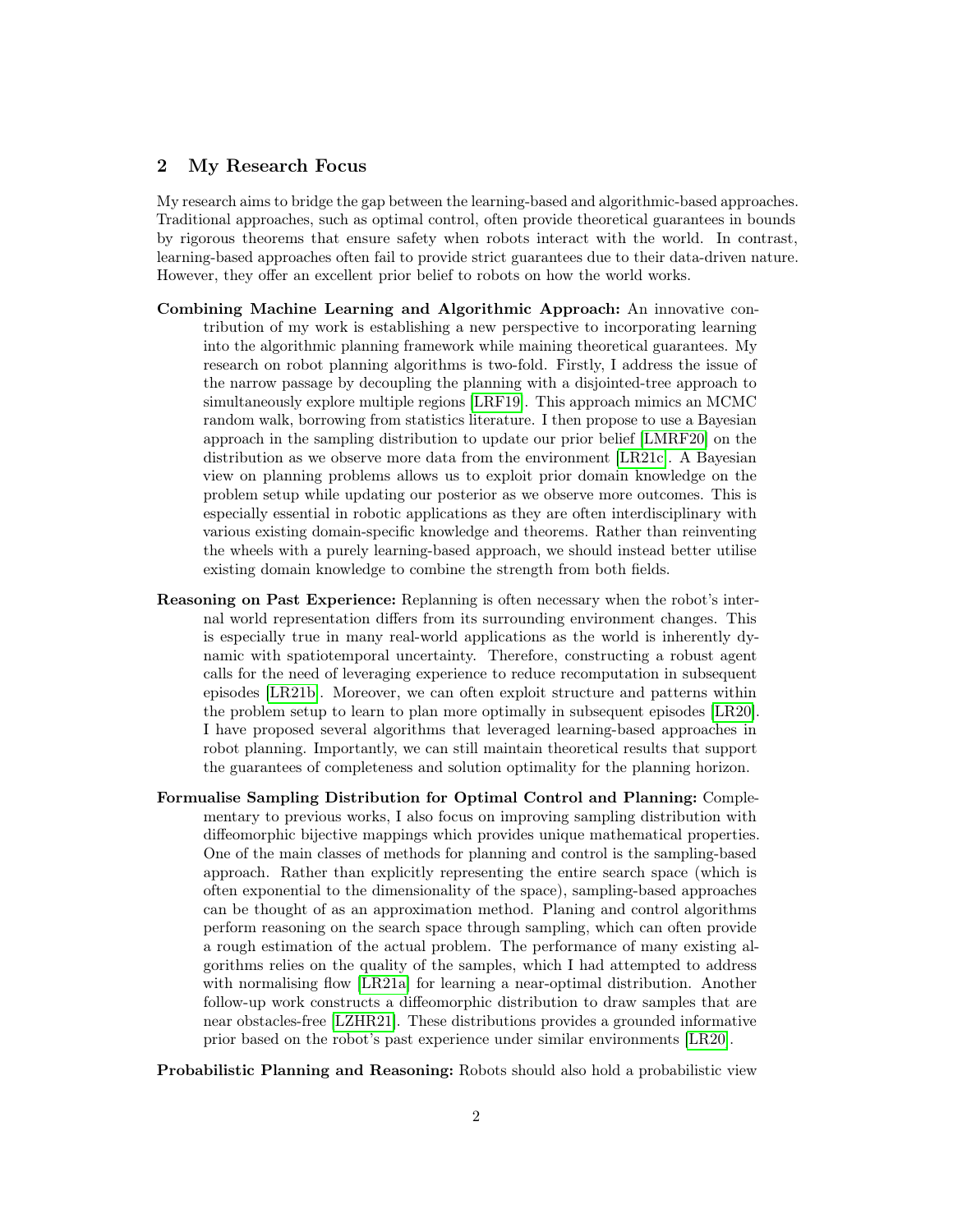### 2 My Research Focus

My research aims to bridge the gap between the learning-based and algorithmic-based approaches. Traditional approaches, such as optimal control, often provide theoretical guarantees in bounds by rigorous theorems that ensure safety when robots interact with the world. In contrast, learning-based approaches often fail to provide strict guarantees due to their data-driven nature. However, they offer an excellent prior belief to robots on how the world works.

- Combining Machine Learning and Algorithmic Approach: An innovative contribution of my work is establishing a new perspective to incorporating learning into the algorithmic planning framework while maining theoretical guarantees. My research on robot planning algorithms is two-fold. Firstly, I address the issue of the narrow passage by decoupling the planning with a disjointed-tree approach to simultaneously explore multiple regions [\[LRF19\]](#page-3-12). This approach mimics an MCMC random walk, borrowing from statistics literature. I then propose to use a Bayesian approach in the sampling distribution to update our prior belief [\[LMRF20\]](#page-3-13) on the distribution as we observe more data from the environment [\[LR21c\]](#page-3-14). A Bayesian view on planning problems allows us to exploit prior domain knowledge on the problem setup while updating our posterior as we observe more outcomes. This is especially essential in robotic applications as they are often interdisciplinary with various existing domain-specific knowledge and theorems. Rather than reinventing the wheels with a purely learning-based approach, we should instead better utilise existing domain knowledge to combine the strength from both fields.
- Reasoning on Past Experience: Replanning is often necessary when the robot's internal world representation differs from its surrounding environment changes. This is especially true in many real-world applications as the world is inherently dynamic with spatiotemporal uncertainty. Therefore, constructing a robust agent calls for the need of leveraging experience to reduce recomputation in subsequent episodes [\[LR21b\]](#page-3-15). Moreover, we can often exploit structure and patterns within the problem setup to learn to plan more optimally in subsequent episodes [\[LR20\]](#page-3-16). I have proposed several algorithms that leveraged learning-based approaches in robot planning. Importantly, we can still maintain theoretical results that support the guarantees of completeness and solution optimality for the planning horizon.
- Formualise Sampling Distribution for Optimal Control and Planning: Complementary to previous works, I also focus on improving sampling distribution with diffeomorphic bijective mappings which provides unique mathematical properties. One of the main classes of methods for planning and control is the sampling-based approach. Rather than explicitly representing the entire search space (which is often exponential to the dimensionality of the space), sampling-based approaches can be thought of as an approximation method. Planing and control algorithms perform reasoning on the search space through sampling, which can often provide a rough estimation of the actual problem. The performance of many existing algorithms relies on the quality of the samples, which I had attempted to address with normalising flow [\[LR21a\]](#page-3-17) for learning a near-optimal distribution. Another follow-up work constructs a diffeomorphic distribution to draw samples that are near obstacles-free [\[LZHR21\]](#page-3-18). These distributions provides a grounded informative prior based on the robot's past experience under similar environments [\[LR20\]](#page-3-16).

Probabilistic Planning and Reasoning: Robots should also hold a probabilistic view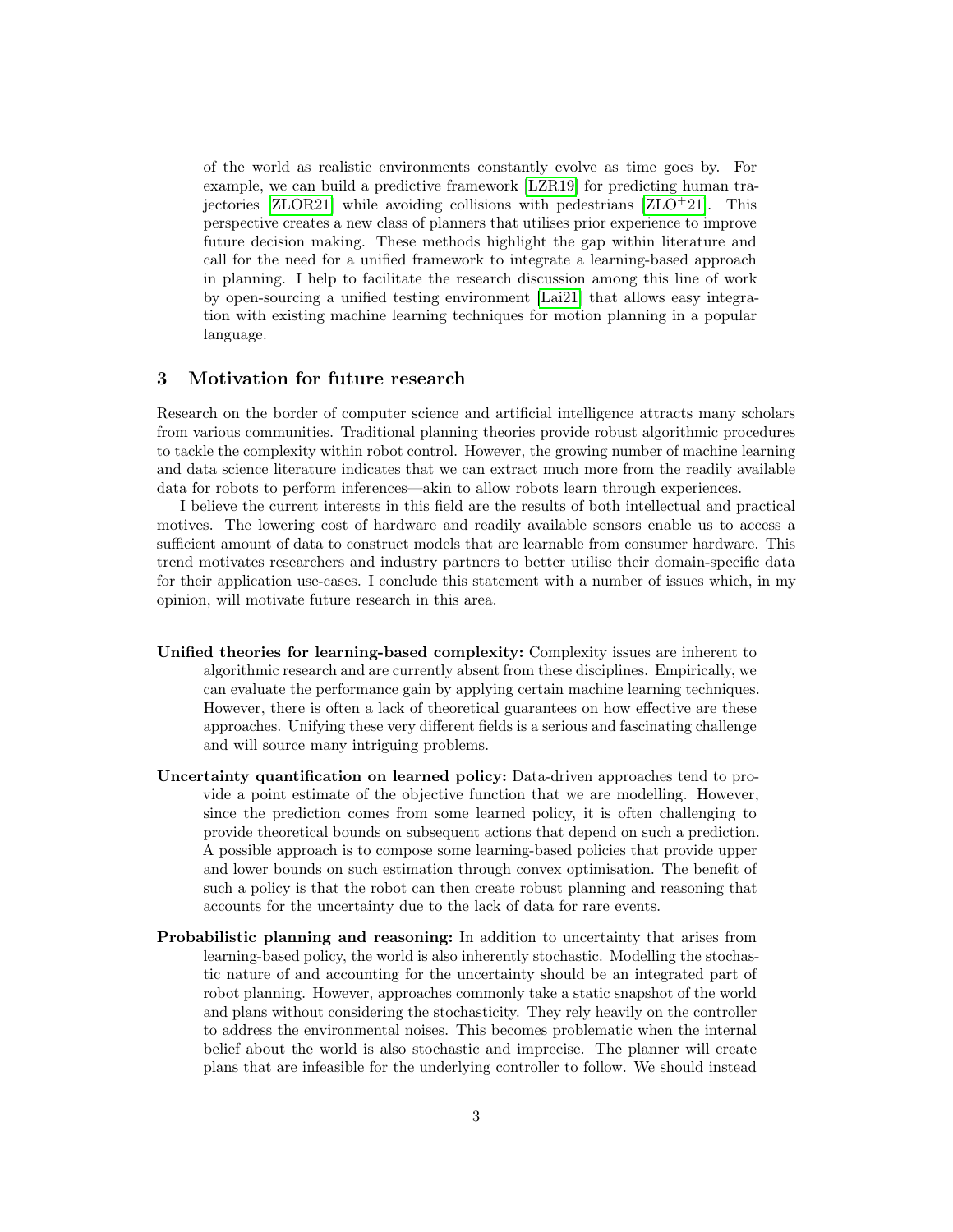of the world as realistic environments constantly evolve as time goes by. For example, we can build a predictive framework [\[LZR19\]](#page-3-19) for predicting human trajectories  $[ZLOR21]$  while avoiding collisions with pedestrians  $[ZLO+21]$  $[ZLO+21]$ . This perspective creates a new class of planners that utilises prior experience to improve future decision making. These methods highlight the gap within literature and call for the need for a unified framework to integrate a learning-based approach in planning. I help to facilitate the research discussion among this line of work by open-sourcing a unified testing environment [\[Lai21\]](#page-3-20) that allows easy integration with existing machine learning techniques for motion planning in a popular language.

#### 3 Motivation for future research

Research on the border of computer science and artificial intelligence attracts many scholars from various communities. Traditional planning theories provide robust algorithmic procedures to tackle the complexity within robot control. However, the growing number of machine learning and data science literature indicates that we can extract much more from the readily available data for robots to perform inferences—akin to allow robots learn through experiences.

I believe the current interests in this field are the results of both intellectual and practical motives. The lowering cost of hardware and readily available sensors enable us to access a sufficient amount of data to construct models that are learnable from consumer hardware. This trend motivates researchers and industry partners to better utilise their domain-specific data for their application use-cases. I conclude this statement with a number of issues which, in my opinion, will motivate future research in this area.

- Unified theories for learning-based complexity: Complexity issues are inherent to algorithmic research and are currently absent from these disciplines. Empirically, we can evaluate the performance gain by applying certain machine learning techniques. However, there is often a lack of theoretical guarantees on how effective are these approaches. Unifying these very different fields is a serious and fascinating challenge and will source many intriguing problems.
- Uncertainty quantification on learned policy: Data-driven approaches tend to provide a point estimate of the objective function that we are modelling. However, since the prediction comes from some learned policy, it is often challenging to provide theoretical bounds on subsequent actions that depend on such a prediction. A possible approach is to compose some learning-based policies that provide upper and lower bounds on such estimation through convex optimisation. The benefit of such a policy is that the robot can then create robust planning and reasoning that accounts for the uncertainty due to the lack of data for rare events.
- Probabilistic planning and reasoning: In addition to uncertainty that arises from learning-based policy, the world is also inherently stochastic. Modelling the stochastic nature of and accounting for the uncertainty should be an integrated part of robot planning. However, approaches commonly take a static snapshot of the world and plans without considering the stochasticity. They rely heavily on the controller to address the environmental noises. This becomes problematic when the internal belief about the world is also stochastic and imprecise. The planner will create plans that are infeasible for the underlying controller to follow. We should instead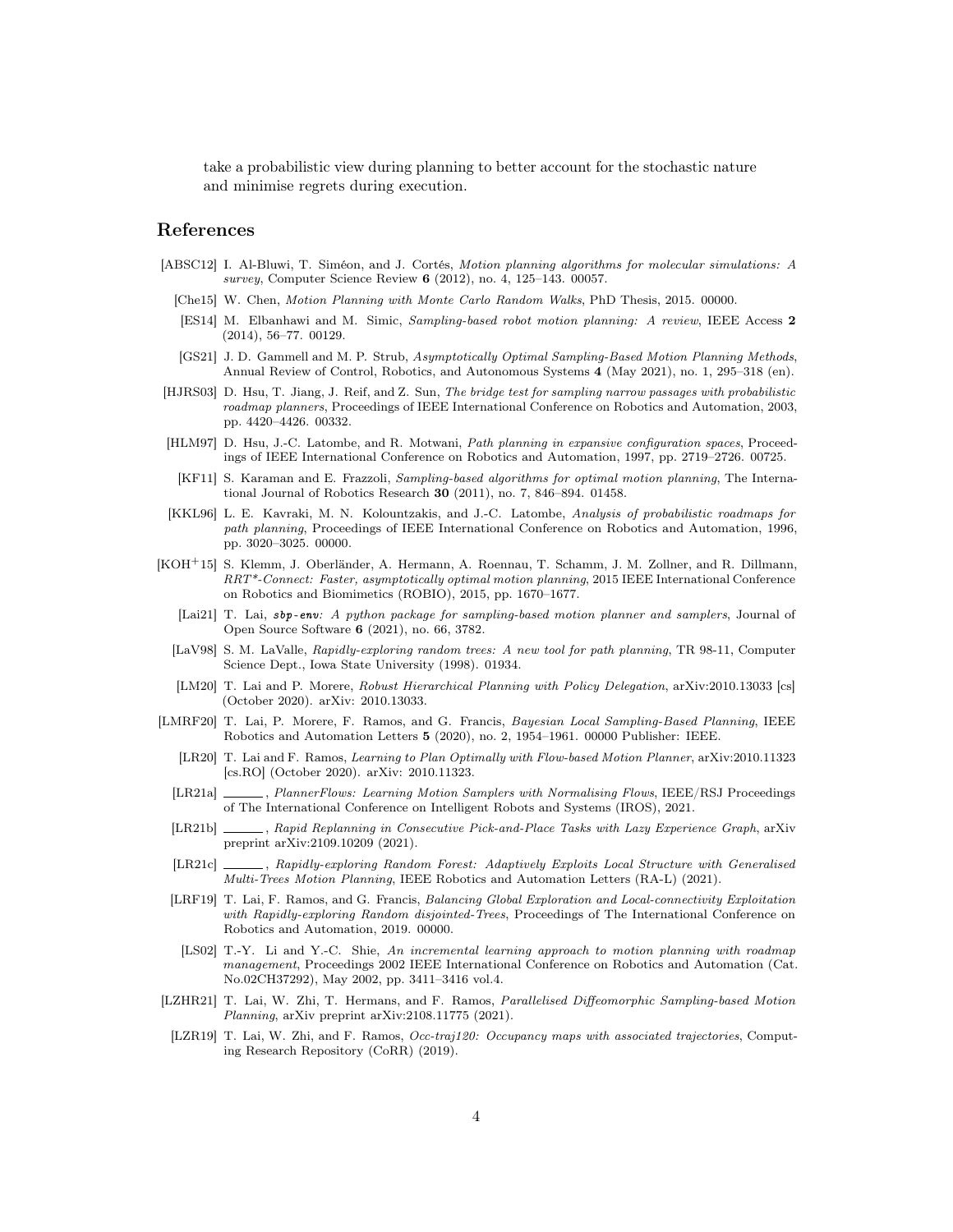take a probabilistic view during planning to better account for the stochastic nature and minimise regrets during execution.

### References

- <span id="page-3-11"></span><span id="page-3-10"></span><span id="page-3-1"></span>[ABSC12] I. Al-Bluwi, T. Siméon, and J. Cortés, Motion planning algorithms for molecular simulations: A survey, Computer Science Review **6** (2012), no. 4, 125–143. 00057.
	- [Che15] W. Chen, Motion Planning with Monte Carlo Random Walks, PhD Thesis, 2015. 00000.
	- [ES14] M. Elbanhawi and M. Simic, Sampling-based robot motion planning: A review, IEEE Access 2 (2014), 56–77. 00129.
	- [GS21] J. D. Gammell and M. P. Strub, Asymptotically Optimal Sampling-Based Motion Planning Methods, Annual Review of Control, Robotics, and Autonomous Systems 4 (May 2021), no. 1, 295–318 (en).
- <span id="page-3-6"></span><span id="page-3-5"></span>[HJRS03] D. Hsu, T. Jiang, J. Reif, and Z. Sun, The bridge test for sampling narrow passages with probabilistic roadmap planners, Proceedings of IEEE International Conference on Robotics and Automation, 2003, pp. 4420–4426. 00332.
- <span id="page-3-7"></span>[HLM97] D. Hsu, J.-C. Latombe, and R. Motwani, Path planning in expansive configuration spaces, Proceedings of IEEE International Conference on Robotics and Automation, 1997, pp. 2719–2726. 00725.
- <span id="page-3-3"></span>[KF11] S. Karaman and E. Frazzoli, Sampling-based algorithms for optimal motion planning, The International Journal of Robotics Research 30 (2011), no. 7, 846–894. 01458.
- <span id="page-3-2"></span>[KKL96] L. E. Kavraki, M. N. Kolountzakis, and J.-C. Latombe, Analysis of probabilistic roadmaps for path planning, Proceedings of IEEE International Conference on Robotics and Automation, 1996, pp. 3020–3025. 00000.
- <span id="page-3-20"></span><span id="page-3-8"></span>[KOH+15] S. Klemm, J. Oberländer, A. Hermann, A. Roennau, T. Schamm, J. M. Zollner, and R. Dillmann, RRT\*-Connect: Faster, asymptotically optimal motion planning, 2015 IEEE International Conference on Robotics and Biomimetics (ROBIO), 2015, pp. 1670–1677.
	- [Lai21] T. Lai, sbp-env: A python package for sampling-based motion planner and samplers, Journal of Open Source Software 6 (2021), no. 66, 3782.
	- [LaV98] S. M. LaValle, Rapidly-exploring random trees: A new tool for path planning, TR 98-11, Computer Science Dept., Iowa State University (1998). 01934.
	- [LM20] T. Lai and P. Morere, Robust Hierarchical Planning with Policy Delegation, arXiv:2010.13033 [cs] (October 2020). arXiv: 2010.13033.
- <span id="page-3-17"></span><span id="page-3-16"></span><span id="page-3-13"></span><span id="page-3-4"></span><span id="page-3-0"></span>[LMRF20] T. Lai, P. Morere, F. Ramos, and G. Francis, Bayesian Local Sampling-Based Planning, IEEE Robotics and Automation Letters 5 (2020), no. 2, 1954–1961. 00000 Publisher: IEEE.
	- [LR20] T. Lai and F. Ramos, Learning to Plan Optimally with Flow-based Motion Planner, arXiv:2010.11323 [cs.RO] (October 2020). arXiv: 2010.11323.
	- [LR21a] , PlannerFlows: Learning Motion Samplers with Normalising Flows, IEEE/RSJ Proceedings of The International Conference on Intelligent Robots and Systems (IROS), 2021.
	- [LR21b] , Rapid Replanning in Consecutive Pick-and-Place Tasks with Lazy Experience Graph, arXiv preprint arXiv:2109.10209 (2021).
	- [LR21c] , Rapidly-exploring Random Forest: Adaptively Exploits Local Structure with Generalised Multi-Trees Motion Planning, IEEE Robotics and Automation Letters (RA-L) (2021).
- <span id="page-3-15"></span><span id="page-3-14"></span><span id="page-3-12"></span>[LRF19] T. Lai, F. Ramos, and G. Francis, Balancing Global Exploration and Local-connectivity Exploitation with Rapidly-exploring Random disjointed-Trees, Proceedings of The International Conference on Robotics and Automation, 2019. 00000.
- <span id="page-3-9"></span>[LS02] T.-Y. Li and Y.-C. Shie, An incremental learning approach to motion planning with roadmap management, Proceedings 2002 IEEE International Conference on Robotics and Automation (Cat. No.02CH37292), May 2002, pp. 3411–3416 vol.4.
- <span id="page-3-18"></span>[LZHR21] T. Lai, W. Zhi, T. Hermans, and F. Ramos, Parallelised Diffeomorphic Sampling-based Motion Planning, arXiv preprint arXiv:2108.11775 (2021).
- <span id="page-3-19"></span>[LZR19] T. Lai, W. Zhi, and F. Ramos, Occ-traj120: Occupancy maps with associated trajectories, Computing Research Repository (CoRR) (2019).